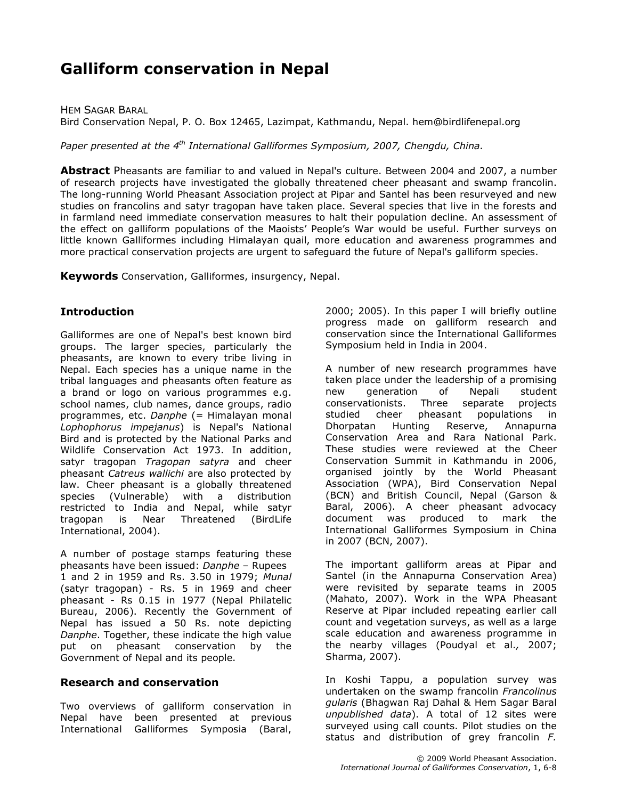# Galliform conservation in Nepal

HEM SAGAR BARAL Bird Conservation Nepal, P. O. Box 12465, Lazimpat, Kathmandu, Nepal. hem@birdlifenepal.org

Paper presented at the  $4<sup>th</sup>$  International Galliformes Symposium, 2007, Chengdu, China.

Abstract Pheasants are familiar to and valued in Nepal's culture. Between 2004 and 2007, a number of research projects have investigated the globally threatened cheer pheasant and swamp francolin. The long-running World Pheasant Association project at Pipar and Santel has been resurveyed and new studies on francolins and satyr tragopan have taken place. Several species that live in the forests and in farmland need immediate conservation measures to halt their population decline. An assessment of the effect on galliform populations of the Maoists' People's War would be useful. Further surveys on little known Galliformes including Himalayan quail, more education and awareness programmes and more practical conservation projects are urgent to safeguard the future of Nepal's galliform species.

Keywords Conservation, Galliformes, insurgency, Nepal.

### **Introduction**

Galliformes are one of Nepal's best known bird groups. The larger species, particularly the pheasants, are known to every tribe living in Nepal. Each species has a unique name in the tribal languages and pheasants often feature as a brand or logo on various programmes e.g. school names, club names, dance groups, radio programmes, etc. Danphe (= Himalayan monal Lophophorus impejanus) is Nepal's National Bird and is protected by the National Parks and Wildlife Conservation Act 1973. In addition, satyr tragopan Tragopan satyra and cheer pheasant Catreus wallichi are also protected by law. Cheer pheasant is a globally threatened species (Vulnerable) with a distribution restricted to India and Nepal, while satyr tragopan is Near Threatened (BirdLife International, 2004).

A number of postage stamps featuring these pheasants have been issued: Danphe – Rupees 1 and 2 in 1959 and Rs. 3.50 in 1979; Munal (satyr tragopan) - Rs. 5 in 1969 and cheer pheasant - Rs 0.15 in 1977 (Nepal Philatelic Bureau, 2006). Recently the Government of Nepal has issued a 50 Rs. note depicting Danphe. Together, these indicate the high value put on pheasant conservation by the Government of Nepal and its people.

#### Research and conservation

Two overviews of galliform conservation in Nepal have been presented at previous International Galliformes Symposia (Baral,

2000; 2005). In this paper I will briefly outline progress made on galliform research and conservation since the International Galliformes Symposium held in India in 2004.

A number of new research programmes have taken place under the leadership of a promising new generation of Nepali student conservationists. Three separate projects studied cheer pheasant populations in Dhorpatan Hunting Reserve, Annapurna Conservation Area and Rara National Park. These studies were reviewed at the Cheer Conservation Summit in Kathmandu in 2006, organised jointly by the World Pheasant Association (WPA), Bird Conservation Nepal (BCN) and British Council, Nepal (Garson & Baral, 2006). A cheer pheasant advocacy document was produced to mark the International Galliformes Symposium in China in 2007 (BCN, 2007).

The important galliform areas at Pipar and Santel (in the Annapurna Conservation Area) were revisited by separate teams in 2005 (Mahato, 2007). Work in the WPA Pheasant Reserve at Pipar included repeating earlier call count and vegetation surveys, as well as a large scale education and awareness programme in the nearby villages (Poudyal et al., 2007; Sharma, 2007).

In Koshi Tappu, a population survey was undertaken on the swamp francolin Francolinus gularis (Bhagwan Raj Dahal & Hem Sagar Baral unpublished data). A total of 12 sites were surveyed using call counts. Pilot studies on the status and distribution of grey francolin F.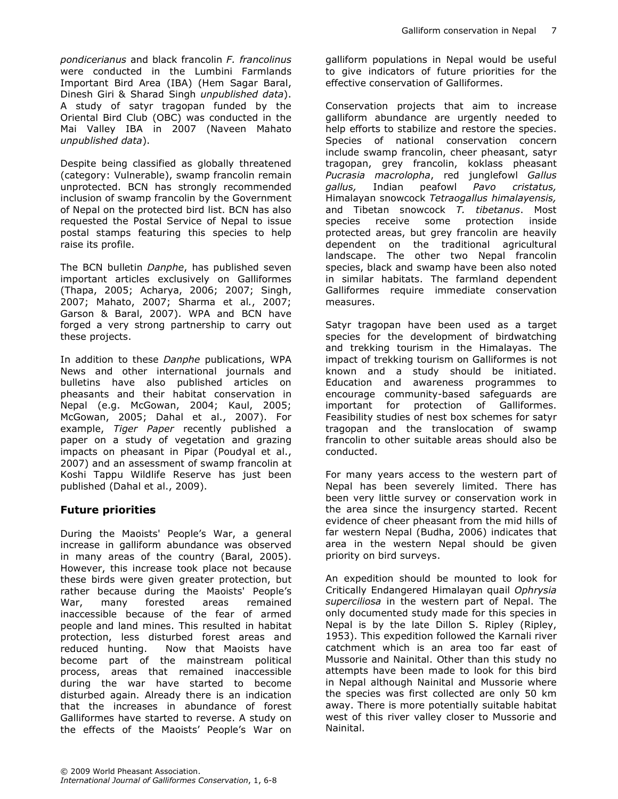pondicerianus and black francolin F. francolinus were conducted in the Lumbini Farmlands Important Bird Area (IBA) (Hem Sagar Baral, Dinesh Giri & Sharad Singh unpublished data). A study of satyr tragopan funded by the Oriental Bird Club (OBC) was conducted in the Mai Valley IBA in 2007 (Naveen Mahato unpublished data).

Despite being classified as globally threatened (category: Vulnerable), swamp francolin remain unprotected. BCN has strongly recommended inclusion of swamp francolin by the Government of Nepal on the protected bird list. BCN has also requested the Postal Service of Nepal to issue postal stamps featuring this species to help raise its profile.

The BCN bulletin Danphe, has published seven important articles exclusively on Galliformes (Thapa, 2005; Acharya, 2006; 2007; Singh, 2007; Mahato, 2007; Sharma et al., 2007; Garson & Baral, 2007). WPA and BCN have forged a very strong partnership to carry out these projects.

In addition to these Danphe publications, WPA News and other international journals and bulletins have also published articles on pheasants and their habitat conservation in Nepal (e.g. McGowan, 2004; Kaul, 2005; McGowan, 2005; Dahal et al., 2007). For example, Tiger Paper recently published a paper on a study of vegetation and grazing impacts on pheasant in Pipar (Poudyal et al., 2007) and an assessment of swamp francolin at Koshi Tappu Wildlife Reserve has just been published (Dahal et al., 2009).

### Future priorities

During the Maoists' People's War, a general increase in galliform abundance was observed in many areas of the country (Baral, 2005). However, this increase took place not because these birds were given greater protection, but rather because during the Maoists' People's War, many forested areas remained inaccessible because of the fear of armed people and land mines. This resulted in habitat protection, less disturbed forest areas and reduced hunting. Now that Maoists have become part of the mainstream political process, areas that remained inaccessible during the war have started to become disturbed again. Already there is an indication that the increases in abundance of forest Galliformes have started to reverse. A study on the effects of the Maoists' People's War on galliform populations in Nepal would be useful to give indicators of future priorities for the effective conservation of Galliformes.

Conservation projects that aim to increase galliform abundance are urgently needed to help efforts to stabilize and restore the species. Species of national conservation concern include swamp francolin, cheer pheasant, satyr tragopan, grey francolin, koklass pheasant Pucrasia macrolopha, red junglefowl Gallus gallus, Indian peafowl Pavo cristatus, Himalayan snowcock Tetraogallus himalayensis, and Tibetan snowcock T. tibetanus. Most species receive some protection inside protected areas, but grey francolin are heavily dependent on the traditional agricultural landscape. The other two Nepal francolin species, black and swamp have been also noted in similar habitats. The farmland dependent Galliformes require immediate conservation measures.

Satyr tragopan have been used as a target species for the development of birdwatching and trekking tourism in the Himalayas. The impact of trekking tourism on Galliformes is not known and a study should be initiated. Education and awareness programmes to encourage community-based safeguards are important for protection of Galliformes. Feasibility studies of nest box schemes for satyr tragopan and the translocation of swamp francolin to other suitable areas should also be conducted.

For many years access to the western part of Nepal has been severely limited. There has been very little survey or conservation work in the area since the insurgency started. Recent evidence of cheer pheasant from the mid hills of far western Nepal (Budha, 2006) indicates that area in the western Nepal should be given priority on bird surveys.

An expedition should be mounted to look for Critically Endangered Himalayan quail Ophrysia superciliosa in the western part of Nepal. The only documented study made for this species in Nepal is by the late Dillon S. Ripley (Ripley, 1953). This expedition followed the Karnali river catchment which is an area too far east of Mussorie and Nainital. Other than this study no attempts have been made to look for this bird in Nepal although Nainital and Mussorie where the species was first collected are only 50 km away. There is more potentially suitable habitat west of this river valley closer to Mussorie and Nainital.